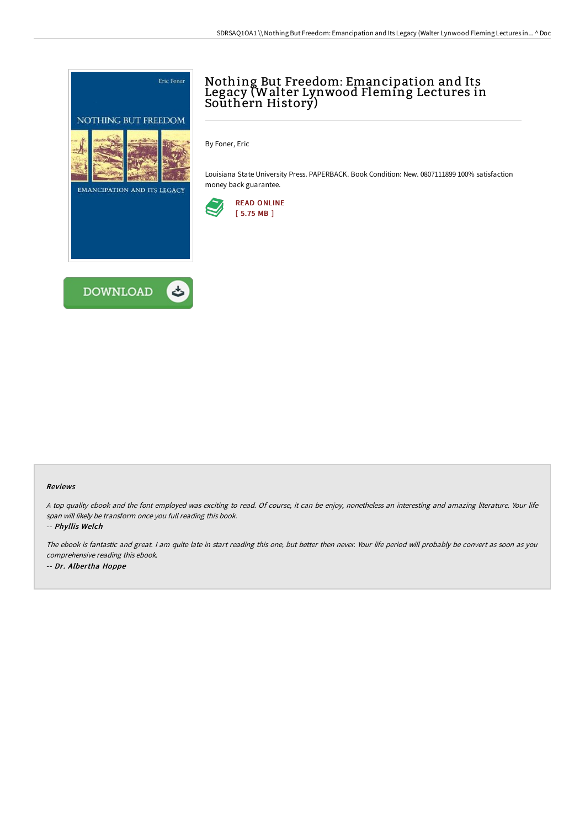



# Nothing But Freedom: Emancipation and Its Legacy (Walter Lynwood Fleming Lectures in Southern Historý)

By Foner, Eric

Louisiana State University Press. PAPERBACK. Book Condition: New. 0807111899 100% satisfaction money back guarantee.



#### Reviews

<sup>A</sup> top quality ebook and the font employed was exciting to read. Of course, it can be enjoy, nonetheless an interesting and amazing literature. Your life span will likely be transform once you full reading this book.

-- Phyllis Welch

The ebook is fantastic and great. <sup>I</sup> am quite late in start reading this one, but better then never. Your life period will probably be convert as soon as you comprehensive reading this ebook. -- Dr. Albertha Hoppe